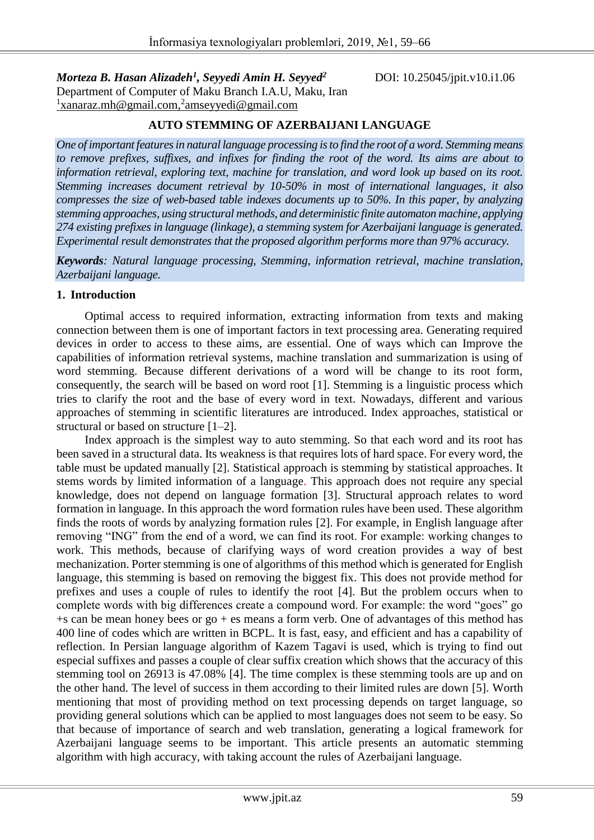*Morteza B. Hasan Alizadeh<sup>1</sup>* Department of Computer of Maku Branch I.A.U, Maku, Iran <sup>1</sup>[xanaraz.mh@gmail.com,](mailto:1xanaraz.mh@gmail.com,2amseyyedi@gmail.com)<sup>2</sup>amseyyedi@gmail.com

*, Seyyedi Amin H. Seyyed<sup>2</sup>* DOI: 10.25045/jpit.v10.i1.06

#### **AUTO STEMMING OF AZERBAIJANI LANGUAGE**

*One of important features in natural language processing is to find the root of a word. Stemming means to remove prefixes, suffixes, and infixes for finding the root of the word. Its aims are about to information retrieval, exploring text, machine for translation, and word look up based on its root. Stemming increases document retrieval by 10-50% in most of international languages, it also compresses the size of web-based table indexes documents up to 50%. In this paper, by analyzing stemming approaches, using structural methods, and deterministic finite automaton machine, applying 274 existing prefixes in language (linkage), a stemming system for Azerbaijani language is generated. Experimental result demonstrates that the proposed algorithm performs more than 97% accuracy.* 

*Keywords: Natural language processing, Stemming, information retrieval, machine translation, Azerbaijani language.*

#### **1. Introduction**

Optimal access to required information, extracting information from texts and making connection between them is one of important factors in text processing area. Generating required devices in order to access to these aims, are essential. One of ways which can Improve the capabilities of information retrieval systems, machine translation and summarization is using of word stemming. Because different derivations of a word will be change to its root form, consequently, the search will be based on word root [1]. Stemming is a linguistic process which tries to clarify the root and the base of every word in text. Nowadays, different and various approaches of stemming in scientific literatures are introduced. Index approaches, statistical or structural or based on structure [1–2].

Index approach is the simplest way to auto stemming. So that each word and its root has been saved in a structural data. Its weakness is that requires lots of hard space. For every word, the table must be updated manually [2]. Statistical approach is stemming by statistical approaches. It stems words by limited information of a language. This approach does not require any special knowledge, does not depend on language formation [3]. Structural approach relates to word formation in language. In this approach the word formation rules have been used. These algorithm finds the roots of words by analyzing formation rules [2]. For example, in English language after removing "ING" from the end of a word, we can find its root. For example: working changes to work. This methods, because of clarifying ways of word creation provides a way of best mechanization. Porter stemming is one of algorithms of this method which is generated for English language, this stemming is based on removing the biggest fix. This does not provide method for prefixes and uses a couple of rules to identify the root [4]. But the problem occurs when to complete words with big differences create a compound word. For example: the word "goes" go  $+$ s can be mean honey bees or go  $+$  es means a form verb. One of advantages of this method has 400 line of codes which are written in BCPL. It is fast, easy, and efficient and has a capability of reflection. In Persian language algorithm of Kazem Tagavi is used, which is trying to find out especial suffixes and passes a couple of clear suffix creation which shows that the accuracy of this stemming tool on 26913 is 47.08% [4]. The time complex is these stemming tools are up and on the other hand. The level of success in them according to their limited rules are down [5]. Worth mentioning that most of providing method on text processing depends on target language, so providing general solutions which can be applied to most languages does not seem to be easy. So that because of importance of search and web translation, generating a logical framework for Azerbaijani language seems to be important. This article presents an automatic stemming algorithm with high accuracy, with taking account the rules of Azerbaijani language.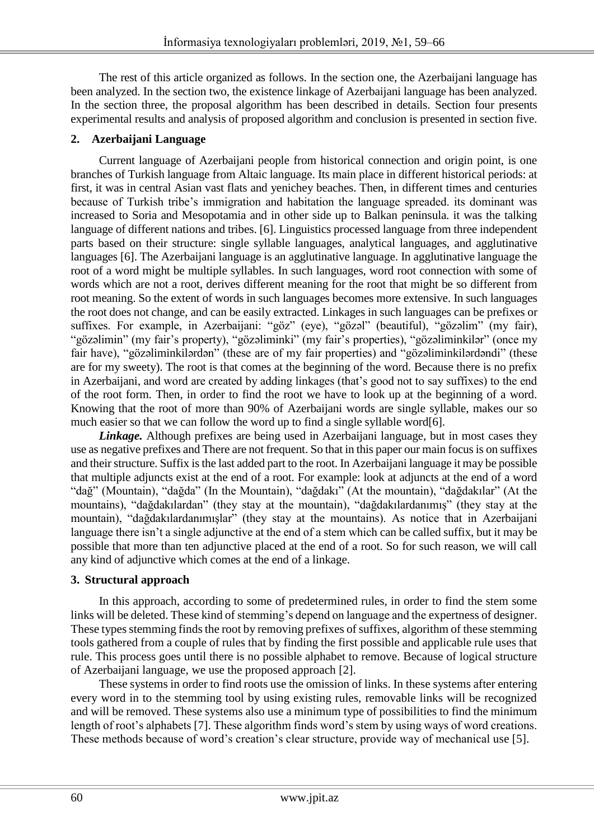The rest of this article organized as follows. In the section one, the Azerbaijani language has been analyzed. In the section two, the existence linkage of Azerbaijani language has been analyzed. In the section three, the proposal algorithm has been described in details. Section four presents experimental results and analysis of proposed algorithm and conclusion is presented in section five.

# **2. Azerbaijani Language**

Current language of Azerbaijani people from historical connection and origin point, is one branches of Turkish language from Altaic language. Its main place in different historical periods: at first, it was in central Asian vast flats and yenichey beaches. Then, in different times and centuries because of Turkish tribe's immigration and habitation the language spreaded. its dominant was increased to Soria and Mesopotamia and in other side up to Balkan peninsula. it was the talking language of different nations and tribes. [6]. Linguistics processed language from three independent parts based on their structure: single syllable languages, analytical languages, and agglutinative languages [6]. The Azerbaijani language is an agglutinative language. In agglutinative language the root of a word might be multiple syllables. In such languages, word root connection with some of words which are not a root, derives different meaning for the root that might be so different from root meaning. So the extent of words in such languages becomes more extensive. In such languages the root does not change, and can be easily extracted. Linkages in such languages can be prefixes or suffixes. For example, in Azerbaijani: "göz" (eye), "gözəl" (beautiful), "gözəlim" (my fair), "gözəlimin" (my fair's property), "gözəliminki" (my fair's properties), "gözəliminkilər" (once my fair have), "gözəliminkilərdən" (these are of my fair properties) and "gözəliminkilərdəndi" (these are for my sweety). The root is that comes at the beginning of the word. Because there is no prefix in Azerbaijani, and word are created by adding linkages (that's good not to say suffixes) to the end of the root form. Then, in order to find the root we have to look up at the beginning of a word. Knowing that the root of more than 90% of Azerbaijani words are single syllable, makes our so much easier so that we can follow the word up to find a single syllable word[6].

*Linkage.* Although prefixes are being used in Azerbaijani language, but in most cases they use as negative prefixes and There are not frequent. So that in this paper our main focus is on suffixes and their structure. Suffix is the last added part to the root. In Azerbaijani language it may be possible that multiple adjuncts exist at the end of a root. For example: look at adjuncts at the end of a word "dağ" (Mountain), "dağda" (In the Mountain), "dağdakı" (At the mountain), "dağdakılar" (At the mountains), "dağdakılardan" (they stay at the mountain), "dağdakılardanımış" (they stay at the mountain), "dağdakılardanımışlar" (they stay at the mountains). As notice that in Azerbaijani language there isn't a single adjunctive at the end of a stem which can be called suffix, but it may be possible that more than ten adjunctive placed at the end of a root. So for such reason, we will call any kind of adjunctive which comes at the end of a linkage.

### **3. Structural approach**

In this approach, according to some of predetermined rules, in order to find the stem some links will be deleted. These kind of stemming's depend on language and the expertness of designer. These types stemming finds the root by removing prefixes of suffixes, algorithm of these stemming tools gathered from a couple of rules that by finding the first possible and applicable rule uses that rule. This process goes until there is no possible alphabet to remove. Because of logical structure of Azerbaijani language, we use the proposed approach [2].

These systems in order to find roots use the omission of links. In these systems after entering every word in to the stemming tool by using existing rules, removable links will be recognized and will be removed. These systems also use a minimum type of possibilities to find the minimum length of root's alphabets [7]. These algorithm finds word's stem by using ways of word creations. These methods because of word's creation's clear structure, provide way of mechanical use [5].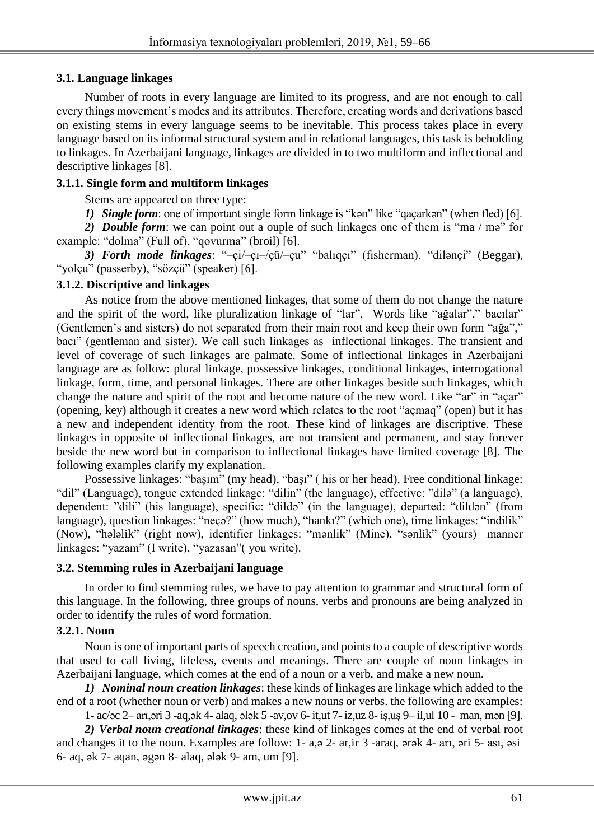# **3.1. Language linkages**

Number of roots in every language are limited to its progress, and are not enough to call every things movement's modes and its attributes. Therefore, creating words and derivations based on existing stems in every language seems to be inevitable. This process takes place in every language based on its informal structural system and in relational languages, this task is beholding to linkages. In Azerbaijani language, linkages are divided in to two multiform and inflectional and descriptive linkages [8].

# **3.1.1. Single form and multiform linkages**

Stems are appeared on three type:

*1) Single form*: one of important single form linkage is "kən" like "qaçarkən" (when fled) [6].

*2) Double form*: we can point out a ouple of such linkages one of them is "ma / mə" for example: "dolma" (Full of), "qovurma" (broil) [6].

*3) Forth mode linkages*: "–çi/–çı–/çü/–çu" "balıqçı" (fisherman), "dilənçi" (Beggar), "yolçu" (passerby), "sözçü" (speaker) [6].

# **3.1.2. Discriptive and linkages**

As notice from the above mentioned linkages, that some of them do not change the nature and the spirit of the word, like pluralization linkage of "lar". Words like "ağalar"," bacılar" (Gentlemen's and sisters) do not separated from their main root and keep their own form "ağa"," bacı" (gentleman and sister). We call such linkages as inflectional linkages. The transient and level of coverage of such linkages are palmate. Some of inflectional linkages in Azerbaijani language are as follow: plural linkage, possessive linkages, conditional linkages, interrogational linkage, form, time, and personal linkages. There are other linkages beside such linkages, which change the nature and spirit of the root and become nature of the new word. Like "ar" in "acar" (opening, key) although it creates a new word which relates to the root "açmaq" (open) but it has a new and independent identity from the root. These kind of linkages are discriptive. These linkages in opposite of inflectional linkages, are not transient and permanent, and stay forever beside the new word but in comparison to inflectional linkages have limited coverage [8]. The following examples clarify my explanation.

Possessive linkages: "başım" (my head), "başı" ( his or her head), Free conditional linkage: "dil" (Language), tongue extended linkage: "dilin" (the language), effective: "dilə" (a language), dependent: "dili" (his language), specific: "dildə" (in the language), departed: "dildən" (from language), question linkages: "neçə?" (how much), "hankı?" (which one), time linkages: "indilik" (Now), "hələlik" (right now), identifier linkages: "mənlik" (Mine), "sənlik" (yours) manner linkages: "yazam" (I write), "yazasan"( you write).

### **3.2. Stemming rules in Azerbaijani language**

In order to find stemming rules, we have to pay attention to grammar and structural form of this language. In the following, three groups of nouns, verbs and pronouns are being analyzed in order to identify the rules of word formation.

# **3.2.1. Noun**

Noun is one of important parts of speech creation, and points to a couple of descriptive words that used to call living, lifeless, events and meanings. There are couple of noun linkages in Azerbaijani language, which comes at the end of a noun or a verb, and make a new noun.

*1) Nominal noun creation linkages*: these kinds of linkages are linkage which added to the end of a root (whether noun or verb) and makes a new nouns or verbs. the following are examples:

1- ac/əc 2– arı,əri 3 -aq,ək 4- alaq, ələk 5 -av,ov 6- it,ut 7- iz,uz 8- iş,uş 9– il,ul 10 - man, mən [9].

*2) Verbal noun creational linkages*: these kind of linkages comes at the end of verbal root and changes it to the noun. Examples are follow: 1- a,ə 2- ar,ir 3 -araq, ərək 4- arı, əri 5- ası, əsi 6- aq, ək 7- aqan, əgən 8- alaq, ələk 9- am, um [9].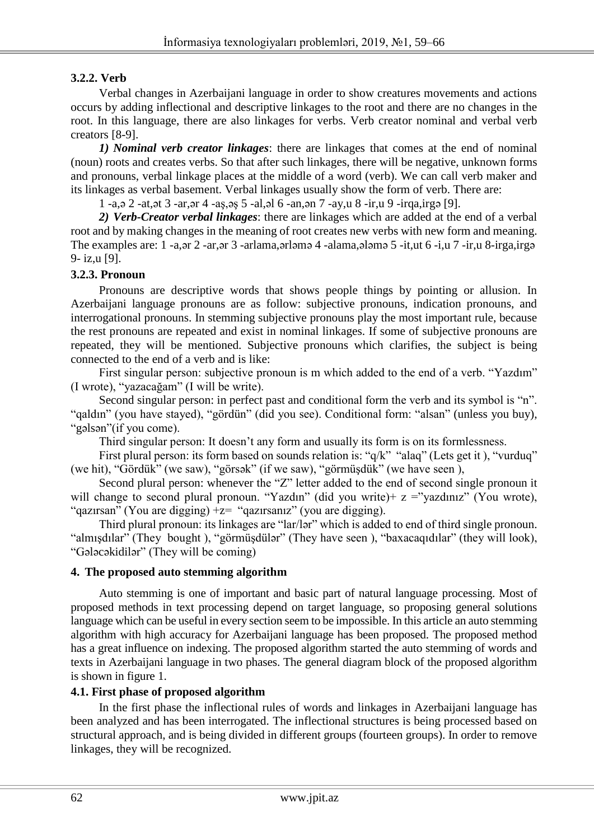# **3.2.2. Verb**

Verbal changes in Azerbaijani language in order to show creatures movements and actions occurs by adding inflectional and descriptive linkages to the root and there are no changes in the root. In this language, there are also linkages for verbs. Verb creator nominal and verbal verb creators [8-9].

*1) Nominal verb creator linkages*: there are linkages that comes at the end of nominal (noun) roots and creates verbs. So that after such linkages, there will be negative, unknown forms and pronouns, verbal linkage places at the middle of a word (verb). We can call verb maker and its linkages as verbal basement. Verbal linkages usually show the form of verb. There are:

1 -a,ə 2 -at,ət 3 -ar,ər 4 -aş,əş 5 -al,əl 6 -an,ən 7 -ay,u 8 -ir,u 9 -irqa,irgə [9].

*2) Verb-Creator verbal linkages*: there are linkages which are added at the end of a verbal root and by making changes in the meaning of root creates new verbs with new form and meaning. The examples are: 1 -a,ər 2 -ar,ər 3 -arlama,ərləmə 4 -alama,ələmə 5 -it,ut 6 -i,u 7 -ir,u 8-irga,irgə 9- iz,u [9].

# **3.2.3. Pronoun**

Pronouns are descriptive words that shows people things by pointing or allusion. In Azerbaijani language pronouns are as follow: subjective pronouns, indication pronouns, and interrogational pronouns. In stemming subjective pronouns play the most important rule, because the rest pronouns are repeated and exist in nominal linkages. If some of subjective pronouns are repeated, they will be mentioned. Subjective pronouns which clarifies, the subject is being connected to the end of a verb and is like:

First singular person: subjective pronoun is m which added to the end of a verb. "Yazdım" (I wrote), "yazacağam" (I will be write).

Second singular person: in perfect past and conditional form the verb and its symbol is "n". "qaldın" (you have stayed), "gördün" (did you see). Conditional form: "alsan" (unless you buy), "gəlsən"(if you come).

Third singular person: It doesn't any form and usually its form is on its formlessness.

First plural person: its form based on sounds relation is: "q/k" "alaq" (Lets get it ), "vurduq" (we hit), "Gördük" (we saw), "görsək" (if we saw), "görmüşdük" (we have seen ),

Second plural person: whenever the "Z" letter added to the end of second single pronoun it will change to second plural pronoun. "Yazdın" (did you write)+  $z =$ "yazdınız" (You wrote), "qazırsan" (You are digging) +z= "qazırsanız" (you are digging).

Third plural pronoun: its linkages are "lar/lər" which is added to end of third single pronoun. "almışdılar" (They bought ), "görmüşdülər" (They have seen ), "baxacaqıdılar" (they will look), "Gələcəkidilər" (They will be coming)

### **4. The proposed auto stemming algorithm**

Auto stemming is one of important and basic part of natural language processing. Most of proposed methods in text processing depend on target language, so proposing general solutions language which can be useful in every section seem to be impossible. In this article an auto stemming algorithm with high accuracy for Azerbaijani language has been proposed. The proposed method has a great influence on indexing. The proposed algorithm started the auto stemming of words and texts in Azerbaijani language in two phases. The general diagram block of the proposed algorithm is shown in figure 1.

### **4.1. First phase of proposed algorithm**

In the first phase the inflectional rules of words and linkages in Azerbaijani language has been analyzed and has been interrogated. The inflectional structures is being processed based on structural approach, and is being divided in different groups (fourteen groups). In order to remove linkages, they will be recognized.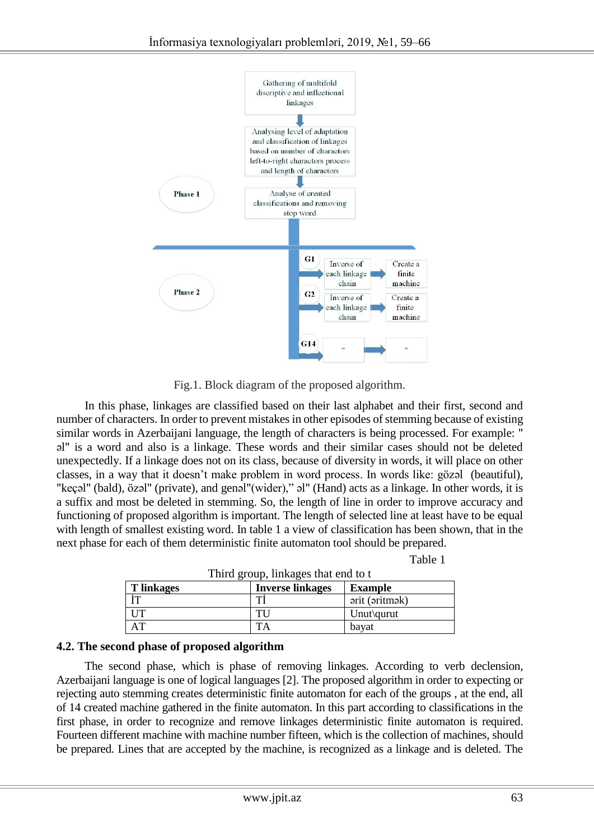

Fig.1. Block diagram of the proposed algorithm.

In this phase, linkages are classified based on their last alphabet and their first, second and number of characters. In order to prevent mistakes in other episodes of stemming because of existing similar words in Azerbaijani language, the length of characters is being processed. For example: " əl" is a word and also is a linkage. These words and their similar cases should not be deleted unexpectedly. If a linkage does not on its class, because of diversity in words, it will place on other classes, in a way that it doesn't make problem in word process. In words like: gözəl (beautiful), "keçəl" (bald), özəl" (private), and genəl"(wider)," əl" (Hand) acts as a linkage. In other words, it is a suffix and most be deleted in stemming. So, the length of line in order to improve accuracy and functioning of proposed algorithm is important. The length of selected line at least have to be equal with length of smallest existing word. In table 1 a view of classification has been shown, that in the next phase for each of them deterministic finite automaton tool should be prepared.

|  | Table 1 |
|--|---------|
|  |         |

| Third group, linkages that end to t |                         |                |  |  |  |
|-------------------------------------|-------------------------|----------------|--|--|--|
| <b>T</b> linkages                   | <b>Inverse linkages</b> | <b>Example</b> |  |  |  |
|                                     |                         | arit (aritmak) |  |  |  |
| $_{\rm IIT}$                        | TU                      | Unut\qurut     |  |  |  |
| AΤ                                  |                         | bavat          |  |  |  |

| 4.2. The second phase of proposed algorithm |  |  |
|---------------------------------------------|--|--|
|                                             |  |  |

The second phase, which is phase of removing linkages. According to verb declension, Azerbaijani language is one of logical languages [2]. The proposed algorithm in order to expecting or rejecting auto stemming creates deterministic finite automaton for each of the groups , at the end, all of 14 created machine gathered in the finite automaton. In this part according to classifications in the first phase, in order to recognize and remove linkages deterministic finite automaton is required. Fourteen different machine with machine number fifteen, which is the collection of machines, should be prepared. Lines that are accepted by the machine, is recognized as a linkage and is deleted. The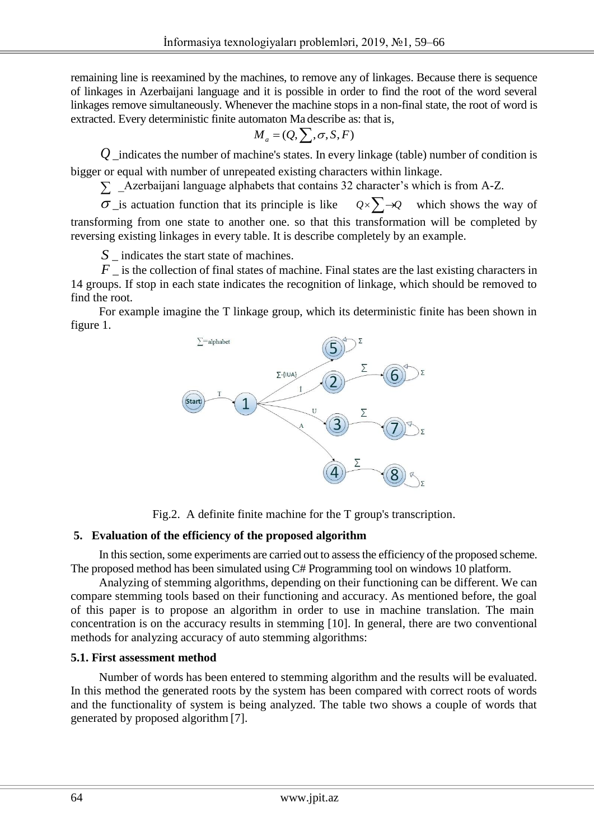remaining line is reexamined by the machines, to remove any of linkages. Because there is sequence of linkages in Azerbaijani language and it is possible in order to find the root of the word several linkages remove simultaneously. Whenever the machine stops in a non-final state, the root of word is extracted. Every deterministic finite automaton Ma describe as: that is,

$$
M_a = (Q, \sum, \sigma, S, F)
$$

*Q* \_indicates the number of machine's states. In every linkage (table) number of condition is bigger or equal with number of unrepeated existing characters within linkage.

 $\sum$  \_Azerbaijani language alphabets that contains 32 character's which is from A-Z.

 $\sigma$  is actuation function that its principle is like  $Q \times \sum \rightarrow Q$  which shows the way of transforming from one state to another one. so that this transformation will be completed by reversing existing linkages in every table. It is describe completely by an example.

*S* \_ indicates the start state of machines.

*F* is the collection of final states of machine. Final states are the last existing characters in 14 groups. If stop in each state indicates the recognition of linkage, which should be removed to find the root.

For example imagine the T linkage group, which its deterministic finite has been shown in figure 1.



Fig.2. A definite finite machine for the T group's transcription.

### **5. Evaluation of the efficiency of the proposed algorithm**

In this section, some experiments are carried out to assess the efficiency of the proposed scheme. The proposed method has been simulated using C# Programming tool on windows 10 platform.

Analyzing of stemming algorithms, depending on their functioning can be different. We can compare stemming tools based on their functioning and accuracy. As mentioned before, the goal of this paper is to propose an algorithm in order to use in machine translation. The main concentration is on the accuracy results in stemming [10]. In general, there are two conventional methods for analyzing accuracy of auto stemming algorithms:

### **5.1. First assessment method**

Number of words has been entered to stemming algorithm and the results will be evaluated. In this method the generated roots by the system has been compared with correct roots of words and the functionality of system is being analyzed. The table two shows a couple of words that generated by proposed algorithm [7].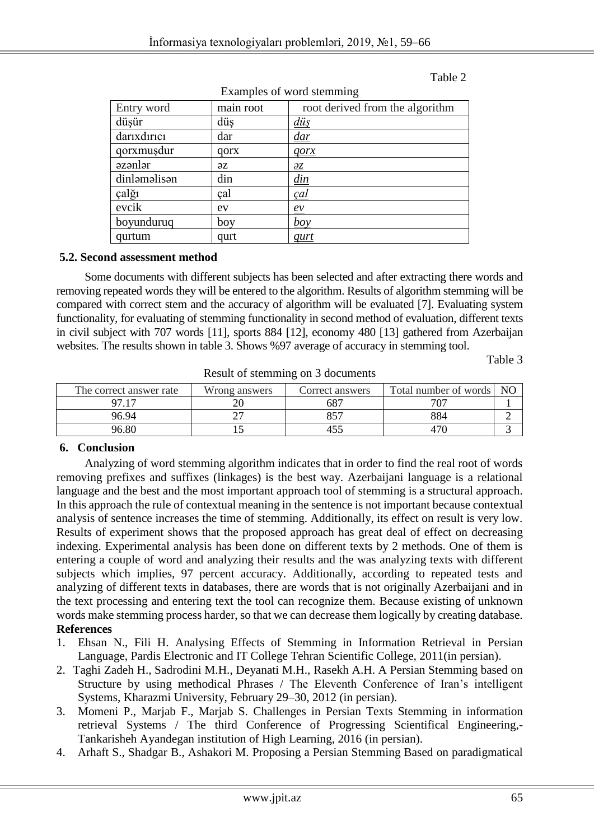Examples of word stemming

#### **Table 2 Table 2**

| $P_{\text{M}}$ $P_{\text{M}}$ $P_{\text{M}}$ $P_{\text{M}}$ $P_{\text{M}}$ $P_{\text{M}}$ $P_{\text{M}}$ $P_{\text{M}}$ $P_{\text{M}}$ $P_{\text{M}}$ |                |                                 |  |  |
|-------------------------------------------------------------------------------------------------------------------------------------------------------|----------------|---------------------------------|--|--|
| Entry word                                                                                                                                            | main root      | root derived from the algorithm |  |  |
| düşür                                                                                                                                                 | düş            | <u>düş</u>                      |  |  |
| darixdirici                                                                                                                                           | dar            | <u>dar</u>                      |  |  |
| qorxmuşdur                                                                                                                                            | qorx           | $q$ orx                         |  |  |
| azənlər                                                                                                                                               | $\overline{z}$ | 2z                              |  |  |
| dinləməlisən                                                                                                                                          | din            | $\frac{d$ in                    |  |  |
| çalğı                                                                                                                                                 | çal            | <u>çal</u>                      |  |  |
| evcik                                                                                                                                                 | ev             | $\frac{ev}{\sqrt{2}}$           |  |  |
| boyunduruq                                                                                                                                            | boy            | $b\omega$                       |  |  |
| qurtum                                                                                                                                                | qurt           | qurt                            |  |  |

**5.2. Second assessment method** 

Some documents with different subjects has been selected and after extracting there words and removing repeated words they will be entered to the algorithm. Results of algorithm stemming will be compared with correct stem and the accuracy of algorithm will be evaluated [7]. Evaluating system functionality, for evaluating of stemming functionality in second method of evaluation, different texts in civil subject with 707 words [11], sports 884 [12], economy 480 [13] gathered from Azerbaijan websites. The results shown in table 3. Shows %97 average of accuracy in stemming tool.

**Table 3** 

| -                       |               |                 |                       |                |  |
|-------------------------|---------------|-----------------|-----------------------|----------------|--|
| The correct answer rate | Wrong answers | Correct answers | Total number of words | N <sub>C</sub> |  |
| <u>ሰማ 1ማ</u>            |               | 687             |                       |                |  |
| 96.94                   |               | ロビワ             | 884                   |                |  |
| 96.80                   |               | 40.             |                       |                |  |

Result of stemming on 3 documents

# **6. Conclusion**

Analyzing of word stemming algorithm indicates that in order to find the real root of words removing prefixes and suffixes (linkages) is the best way. Azerbaijani language is a relational language and the best and the most important approach tool of stemming is a structural approach. In this approach the rule of contextual meaning in the sentence is not important because contextual analysis of sentence increases the time of stemming. Additionally, its effect on result is very low. Results of experiment shows that the proposed approach has great deal of effect on decreasing indexing. Experimental analysis has been done on different texts by 2 methods. One of them is entering a couple of word and analyzing their results and the was analyzing texts with different subjects which implies, 97 percent accuracy. Additionally, according to repeated tests and analyzing of different texts in databases, there are words that is not originally Azerbaijani and in the text processing and entering text the tool can recognize them. Because existing of unknown words make stemming process harder, so that we can decrease them logically by creating database. **References**

- 1. Ehsan N., Fili H. Analysing Effects of Stemming in Information Retrieval in Persian Language, Pardis Electronic and IT College Tehran Scientific College, 2011(in persian).
- 2. Taghi Zadeh H., Sadrodini M.H., Deyanati M.H., Rasekh A.H. A Persian Stemming based on Structure by using methodical Phrases / The Eleventh Conference of Iran's intelligent Systems, Kharazmi University, February 29–30, 2012 (in persian).
- 3. Momeni P., Marjab F., Marjab S. Challenges in Persian Texts Stemming in information retrieval Systems / The third Conference of Progressing Scientifical Engineering,- Tankarisheh Ayandegan institution of High Learning, 2016 (in persian).
- 4. Arhaft S., Shadgar B., Ashakori M. Proposing a Persian Stemming Based on paradigmatical